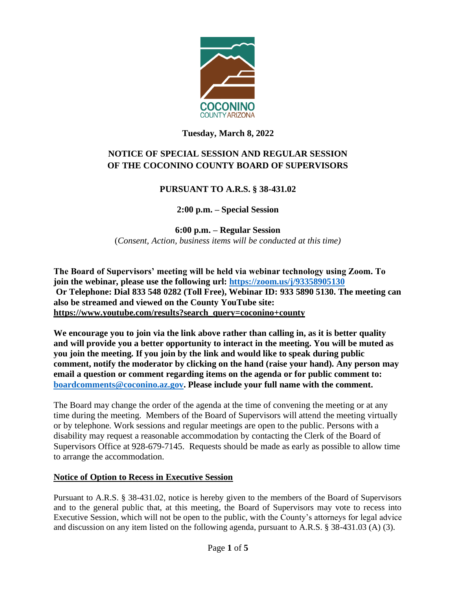

## **Tuesday, March 8, 2022**

# **NOTICE OF SPECIAL SESSION AND REGULAR SESSION OF THE COCONINO COUNTY BOARD OF SUPERVISORS**

## **PURSUANT TO A.R.S. § 38-431.02**

**2:00 p.m. – Special Session**

**6:00 p.m. – Regular Session** (*Consent, Action, business items will be conducted at this time)*

**The Board of Supervisors' meeting will be held via webinar technology using Zoom. To join the webinar, please use the following url: <https://zoom.us/j/93358905130> Or Telephone: Dial 833 548 0282 (Toll Free), Webinar ID: 933 5890 5130. The meeting can also be streamed and viewed on the County YouTube site: [https://www.youtube.com/results?search\\_query=coconino+county](https://www.youtube.com/results?search_query=coconino+county)**

**We encourage you to join via the link above rather than calling in, as it is better quality and will provide you a better opportunity to interact in the meeting. You will be muted as you join the meeting. If you join by the link and would like to speak during public comment, notify the moderator by clicking on the hand (raise your hand). Any person may email a question or comment regarding items on the agenda or for public comment to: [boardcomments@coconino.az.gov.](mailto:boardcomments@coconino.az.gov) Please include your full name with the comment.** 

The Board may change the order of the agenda at the time of convening the meeting or at any time during the meeting. Members of the Board of Supervisors will attend the meeting virtually or by telephone. Work sessions and regular meetings are open to the public. Persons with a disability may request a reasonable accommodation by contacting the Clerk of the Board of Supervisors Office at 928-679-7145. Requests should be made as early as possible to allow time to arrange the accommodation.

## **Notice of Option to Recess in Executive Session**

Pursuant to A.R.S. § 38-431.02, notice is hereby given to the members of the Board of Supervisors and to the general public that, at this meeting, the Board of Supervisors may vote to recess into Executive Session, which will not be open to the public, with the County's attorneys for legal advice and discussion on any item listed on the following agenda, pursuant to A.R.S. § 38-431.03 (A) (3).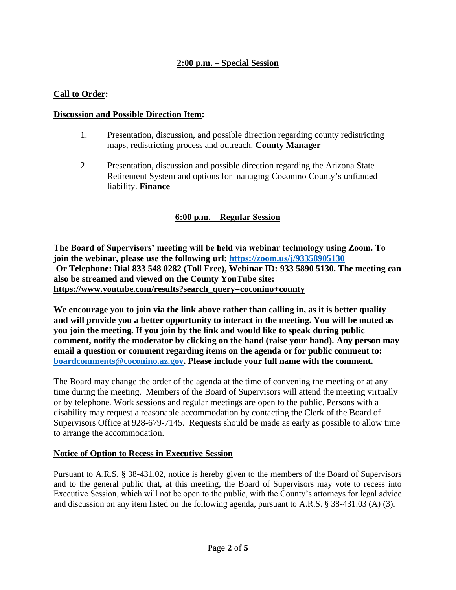## **2:00 p.m. – Special Session**

### **Call to Order:**

#### **Discussion and Possible Direction Item:**

- 1. Presentation, discussion, and possible direction regarding county redistricting maps, redistricting process and outreach. **County Manager**
- 2. Presentation, discussion and possible direction regarding the Arizona State Retirement System and options for managing Coconino County's unfunded liability. **Finance**

## **6:00 p.m. – Regular Session**

**The Board of Supervisors' meeting will be held via webinar technology using Zoom. To join the webinar, please use the following url: <https://zoom.us/j/93358905130> Or Telephone: Dial 833 548 0282 (Toll Free), Webinar ID: 933 5890 5130. The meeting can also be streamed and viewed on the County YouTube site: [https://www.youtube.com/results?search\\_query=coconino+county](https://www.youtube.com/results?search_query=coconino+county)**

**We encourage you to join via the link above rather than calling in, as it is better quality and will provide you a better opportunity to interact in the meeting. You will be muted as you join the meeting. If you join by the link and would like to speak during public comment, notify the moderator by clicking on the hand (raise your hand). Any person may email a question or comment regarding items on the agenda or for public comment to: [boardcomments@coconino.az.gov.](mailto:boardcomments@coconino.az.gov) Please include your full name with the comment.** 

The Board may change the order of the agenda at the time of convening the meeting or at any time during the meeting. Members of the Board of Supervisors will attend the meeting virtually or by telephone. Work sessions and regular meetings are open to the public. Persons with a disability may request a reasonable accommodation by contacting the Clerk of the Board of Supervisors Office at 928-679-7145. Requests should be made as early as possible to allow time to arrange the accommodation.

#### **Notice of Option to Recess in Executive Session**

Pursuant to A.R.S. § 38-431.02, notice is hereby given to the members of the Board of Supervisors and to the general public that, at this meeting, the Board of Supervisors may vote to recess into Executive Session, which will not be open to the public, with the County's attorneys for legal advice and discussion on any item listed on the following agenda, pursuant to A.R.S. § 38-431.03 (A) (3).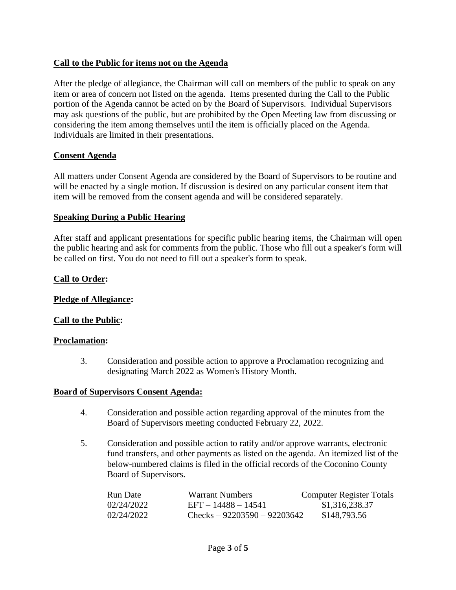## **Call to the Public for items not on the Agenda**

After the pledge of allegiance, the Chairman will call on members of the public to speak on any item or area of concern not listed on the agenda. Items presented during the Call to the Public portion of the Agenda cannot be acted on by the Board of Supervisors. Individual Supervisors may ask questions of the public, but are prohibited by the Open Meeting law from discussing or considering the item among themselves until the item is officially placed on the Agenda. Individuals are limited in their presentations.

#### **Consent Agenda**

All matters under Consent Agenda are considered by the Board of Supervisors to be routine and will be enacted by a single motion. If discussion is desired on any particular consent item that item will be removed from the consent agenda and will be considered separately.

#### **Speaking During a Public Hearing**

After staff and applicant presentations for specific public hearing items, the Chairman will open the public hearing and ask for comments from the public. Those who fill out a speaker's form will be called on first. You do not need to fill out a speaker's form to speak.

#### **Call to Order:**

#### **Pledge of Allegiance:**

#### **Call to the Public:**

#### **Proclamation:**

3. Consideration and possible action to approve a Proclamation recognizing and designating March 2022 as Women's History Month.

#### **Board of Supervisors Consent Agenda:**

- 4. Consideration and possible action regarding approval of the minutes from the Board of Supervisors meeting conducted February 22, 2022.
- 5. Consideration and possible action to ratify and/or approve warrants, electronic fund transfers, and other payments as listed on the agenda. An itemized list of the below-numbered claims is filed in the official records of the Coconino County Board of Supervisors.

| Run Date   | Warrant Numbers                | Computer Register Totals |
|------------|--------------------------------|--------------------------|
| 02/24/2022 | $EFT - 14488 - 14541$          | \$1,316,238.37           |
| 02/24/2022 | Checks – $92203590 - 92203642$ | \$148,793.56             |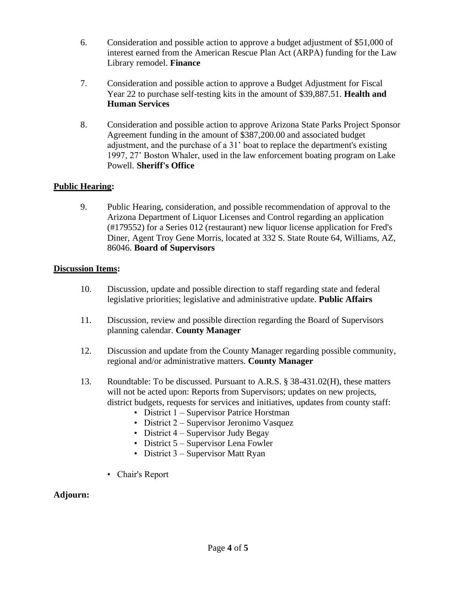- 6. Consideration and possible action to approve a budget adjustment of \$51,000 of interest earned from the American Rescue Plan Act (ARPA) funding for the Law Library remodel. **Finance**
- 7. Consideration and possible action to approve a Budget Adjustment for Fiscal Year 22 to purchase self-testing kits in the amount of \$39,887.51. **Health and Human Services**
- 8. Consideration and possible action to approve Arizona State Parks Project Sponsor Agreement funding in the amount of \$387,200.00 and associated budget adjustment, and the purchase of a 31' boat to replace the department's existing 1997, 27' Boston Whaler, used in the law enforcement boating program on Lake Powell. **Sheriff's Office**

## **Public Hearing:**

9. Public Hearing, consideration, and possible recommendation of approval to the Arizona Department of Liquor Licenses and Control regarding an application (#179552) for a Series 012 (restaurant) new liquor license application for Fred's Diner, Agent Troy Gene Morris, located at 332 S. State Route 64, Williams, AZ, 86046. **Board of Supervisors**

## **Discussion Items:**

- 10. Discussion, update and possible direction to staff regarding state and federal legislative priorities; legislative and administrative update. **Public Affairs**
- 11. Discussion, review and possible direction regarding the Board of Supervisors planning calendar. **County Manager**
- 12. Discussion and update from the County Manager regarding possible community, regional and/or administrative matters. **County Manager**
- 13. Roundtable: To be discussed. Pursuant to A.R.S. § 38-431.02(H), these matters will not be acted upon: Reports from Supervisors; updates on new projects, district budgets, requests for services and initiatives, updates from county staff:
	- District 1 Supervisor Patrice Horstman
	- District 2 Supervisor Jeronimo Vasquez
	- District 4 Supervisor Judy Begay
	- District 5 Supervisor Lena Fowler
	- District 3 Supervisor Matt Ryan
	- Chair's Report

#### **Adjourn:**